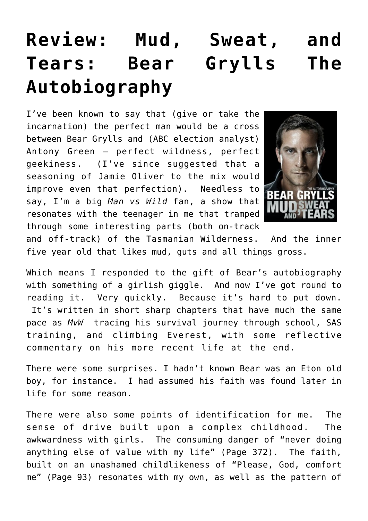## **[Review: Mud, Sweat, and](https://briggs.id.au/jour/2012/01/mud-sweat-and-tears-bear-grylls-the-autobiography/) [Tears: Bear Grylls The](https://briggs.id.au/jour/2012/01/mud-sweat-and-tears-bear-grylls-the-autobiography/) [Autobiography](https://briggs.id.au/jour/2012/01/mud-sweat-and-tears-bear-grylls-the-autobiography/)**

I've been known to say that (give or take the incarnation) the perfect man would be a cross between Bear Grylls and (ABC election analyst) Antony Green – perfect wildness, perfect geekiness. (I've since suggested that a seasoning of Jamie Oliver to the mix would improve even that perfection). Needless to say, I'm a big *Man vs Wild* fan, a show that resonates with the teenager in me that tramped through some interesting parts (both on-track



and off-track) of the Tasmanian Wilderness. And the inner five year old that likes mud, guts and all things gross.

Which means I responded to the gift of Bear's autobiography with something of a girlish giggle. And now I've got round to reading it. Very quickly. Because it's hard to put down. It's written in short sharp chapters that have much the same pace as *MvW* tracing his survival journey through school, SAS training, and climbing Everest, with some reflective commentary on his more recent life at the end.

There were some surprises. I hadn't known Bear was an Eton old boy, for instance. I had assumed his faith was found later in life for some reason.

There were also some points of identification for me. The sense of drive built upon a complex childhood. The awkwardness with girls. The consuming danger of "never doing anything else of value with my life" (Page 372). The faith, built on an unashamed childlikeness of "Please, God, comfort me" (Page 93) resonates with my own, as well as the pattern of